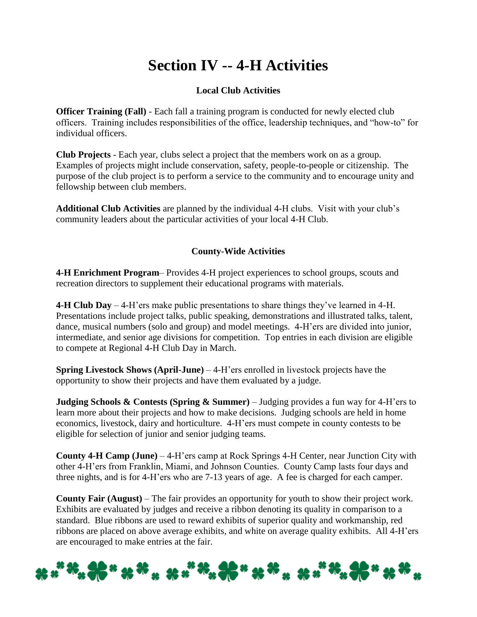# **Section IV -- 4-H Activities**

## **Local Club Activities**

**Officer Training (Fall)** - Each fall a training program is conducted for newly elected club officers. Training includes responsibilities of the office, leadership techniques, and "how-to" for individual officers.

**Club Projects** - Each year, clubs select a project that the members work on as a group. Examples of projects might include conservation, safety, people-to-people or citizenship. The purpose of the club project is to perform a service to the community and to encourage unity and fellowship between club members.

**Additional Club Activities** are planned by the individual 4-H clubs. Visit with your club's community leaders about the particular activities of your local 4-H Club.

### **County-Wide Activities**

**4-H Enrichment Program**– Provides 4-H project experiences to school groups, scouts and recreation directors to supplement their educational programs with materials.

**4-H Club Day** – 4-H'ers make public presentations to share things they've learned in 4-H. Presentations include project talks, public speaking, demonstrations and illustrated talks, talent, dance, musical numbers (solo and group) and model meetings. 4-H'ers are divided into junior, intermediate, and senior age divisions for competition. Top entries in each division are eligible to compete at Regional 4-H Club Day in March.

**Spring Livestock Shows (April-June)** – 4-H'ers enrolled in livestock projects have the opportunity to show their projects and have them evaluated by a judge.

**Judging Schools & Contests (Spring & Summer)** – Judging provides a fun way for 4-H'ers to learn more about their projects and how to make decisions. Judging schools are held in home economics, livestock, dairy and horticulture. 4-H'ers must compete in county contests to be eligible for selection of junior and senior judging teams.

**County 4-H Camp (June)** – 4-H'ers camp at Rock Springs 4-H Center, near Junction City with other 4-H'ers from Franklin, Miami, and Johnson Counties. County Camp lasts four days and three nights, and is for 4-H'ers who are 7-13 years of age. A fee is charged for each camper.

**County Fair (August)** – The fair provides an opportunity for youth to show their project work. Exhibits are evaluated by judges and receive a ribbon denoting its quality in comparison to a standard. Blue ribbons are used to reward exhibits of superior quality and workmanship, red ribbons are placed on above average exhibits, and white on average quality exhibits. All 4-H'ers are encouraged to make entries at the fair.

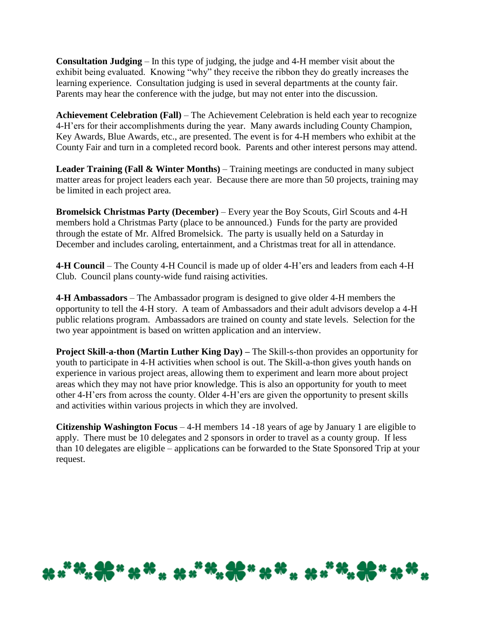**Consultation Judging** – In this type of judging, the judge and 4-H member visit about the exhibit being evaluated. Knowing "why" they receive the ribbon they do greatly increases the learning experience. Consultation judging is used in several departments at the county fair. Parents may hear the conference with the judge, but may not enter into the discussion.

**Achievement Celebration (Fall)** – The Achievement Celebration is held each year to recognize 4-H'ers for their accomplishments during the year. Many awards including County Champion, Key Awards, Blue Awards, etc., are presented. The event is for 4-H members who exhibit at the County Fair and turn in a completed record book. Parents and other interest persons may attend.

**Leader Training (Fall & Winter Months)** – Training meetings are conducted in many subject matter areas for project leaders each year. Because there are more than 50 projects, training may be limited in each project area.

**Bromelsick Christmas Party (December)** – Every year the Boy Scouts, Girl Scouts and 4-H members hold a Christmas Party (place to be announced.) Funds for the party are provided through the estate of Mr. Alfred Bromelsick. The party is usually held on a Saturday in December and includes caroling, entertainment, and a Christmas treat for all in attendance.

**4-H Council** – The County 4-H Council is made up of older 4-H'ers and leaders from each 4-H Club. Council plans county-wide fund raising activities.

**4-H Ambassadors** – The Ambassador program is designed to give older 4-H members the opportunity to tell the 4-H story. A team of Ambassadors and their adult advisors develop a 4-H public relations program. Ambassadors are trained on county and state levels. Selection for the two year appointment is based on written application and an interview.

**Project Skill-a-thon (Martin Luther King Day) –** The Skill-s-thon provides an opportunity for youth to participate in 4-H activities when school is out. The Skill-a-thon gives youth hands on experience in various project areas, allowing them to experiment and learn more about project areas which they may not have prior knowledge. This is also an opportunity for youth to meet other 4-H'ers from across the county. Older 4-H'ers are given the opportunity to present skills and activities within various projects in which they are involved.

**Citizenship Washington Focus** – 4-H members 14 -18 years of age by January 1 are eligible to apply. There must be 10 delegates and 2 sponsors in order to travel as a county group. If less than 10 delegates are eligible – applications can be forwarded to the State Sponsored Trip at your request.

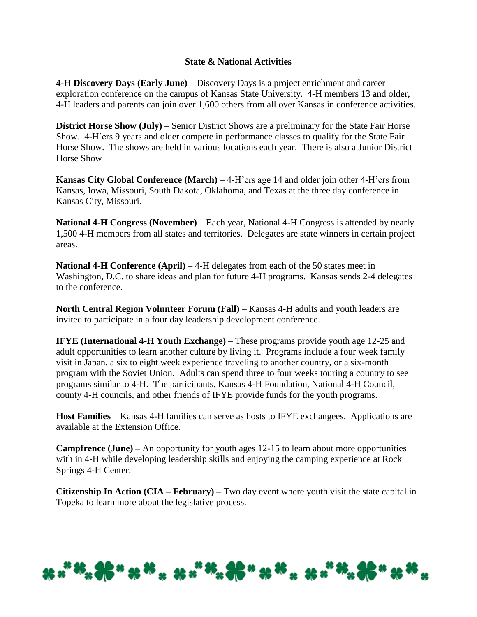#### **State & National Activities**

**4-H Discovery Days (Early June)** – Discovery Days is a project enrichment and career exploration conference on the campus of Kansas State University. 4-H members 13 and older, 4-H leaders and parents can join over 1,600 others from all over Kansas in conference activities.

**District Horse Show (July)** – Senior District Shows are a preliminary for the State Fair Horse Show. 4-H'ers 9 years and older compete in performance classes to qualify for the State Fair Horse Show. The shows are held in various locations each year. There is also a Junior District Horse Show

**Kansas City Global Conference (March)** – 4-H'ers age 14 and older join other 4-H'ers from Kansas, Iowa, Missouri, South Dakota, Oklahoma, and Texas at the three day conference in Kansas City, Missouri.

**National 4-H Congress (November)** – Each year, National 4-H Congress is attended by nearly 1,500 4-H members from all states and territories. Delegates are state winners in certain project areas.

**National 4-H Conference (April)** – 4-H delegates from each of the 50 states meet in Washington, D.C. to share ideas and plan for future 4-H programs. Kansas sends 2-4 delegates to the conference.

**North Central Region Volunteer Forum (Fall)** – Kansas 4-H adults and youth leaders are invited to participate in a four day leadership development conference.

**IFYE (International 4-H Youth Exchange)** – These programs provide youth age 12-25 and adult opportunities to learn another culture by living it. Programs include a four week family visit in Japan, a six to eight week experience traveling to another country, or a six-month program with the Soviet Union. Adults can spend three to four weeks touring a country to see programs similar to 4-H. The participants, Kansas 4-H Foundation, National 4-H Council, county 4-H councils, and other friends of IFYE provide funds for the youth programs.

**Host Families** – Kansas 4-H families can serve as hosts to IFYE exchangees. Applications are available at the Extension Office.

**Campfrence (June) –** An opportunity for youth ages 12-15 to learn about more opportunities with in 4-H while developing leadership skills and enjoying the camping experience at Rock Springs 4-H Center.

**Citizenship In Action (CIA – February) –** Two day event where youth visit the state capital in Topeka to learn more about the legislative process.